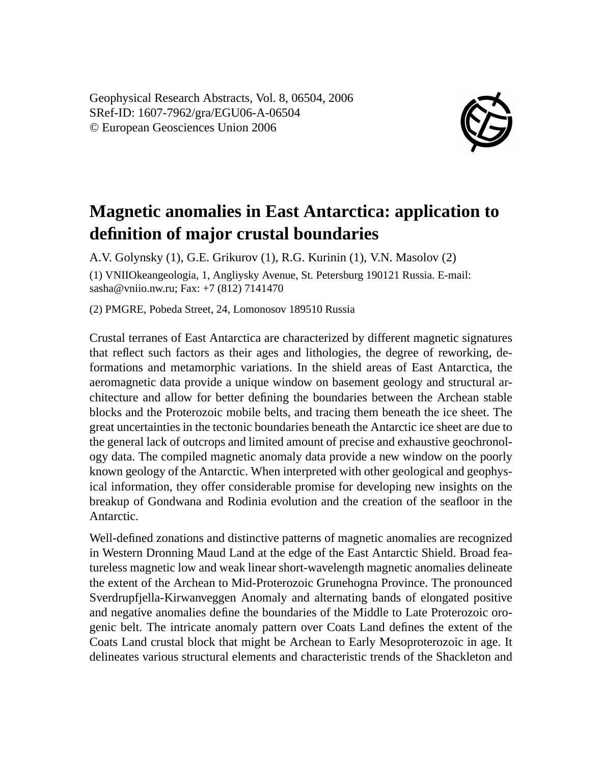Geophysical Research Abstracts, Vol. 8, 06504, 2006 SRef-ID: 1607-7962/gra/EGU06-A-06504 © European Geosciences Union 2006



## **Magnetic anomalies in East Antarctica: application to definition of major crustal boundaries**

A.V. Golynsky (1), G.E. Grikurov (1), R.G. Kurinin (1), V.N. Masolov (2) (1) VNIIOkeangeologia, 1, Angliysky Avenue, St. Petersburg 190121 Russia. E-mail: sasha@vniio.nw.ru; Fax: +7 (812) 7141470

(2) PMGRE, Pobeda Street, 24, Lomonosov 189510 Russia

Crustal terranes of East Antarctica are characterized by different magnetic signatures that reflect such factors as their ages and lithologies, the degree of reworking, deformations and metamorphic variations. In the shield areas of East Antarctica, the aeromagnetic data provide a unique window on basement geology and structural architecture and allow for better defining the boundaries between the Archean stable blocks and the Proterozoic mobile belts, and tracing them beneath the ice sheet. The great uncertainties in the tectonic boundaries beneath the Antarctic ice sheet are due to the general lack of outcrops and limited amount of precise and exhaustive geochronology data. The compiled magnetic anomaly data provide a new window on the poorly known geology of the Antarctic. When interpreted with other geological and geophysical information, they offer considerable promise for developing new insights on the breakup of Gondwana and Rodinia evolution and the creation of the seafloor in the Antarctic.

Well-defined zonations and distinctive patterns of magnetic anomalies are recognized in Western Dronning Maud Land at the edge of the East Antarctic Shield. Broad featureless magnetic low and weak linear short-wavelength magnetic anomalies delineate the extent of the Archean to Mid-Proterozoic Grunehogna Province. The pronounced Sverdrupfjella-Kirwanveggen Anomaly and alternating bands of elongated positive and negative anomalies define the boundaries of the Middle to Late Proterozoic orogenic belt. The intricate anomaly pattern over Coats Land defines the extent of the Coats Land crustal block that might be Archean to Early Mesoproterozoic in age. It delineates various structural elements and characteristic trends of the Shackleton and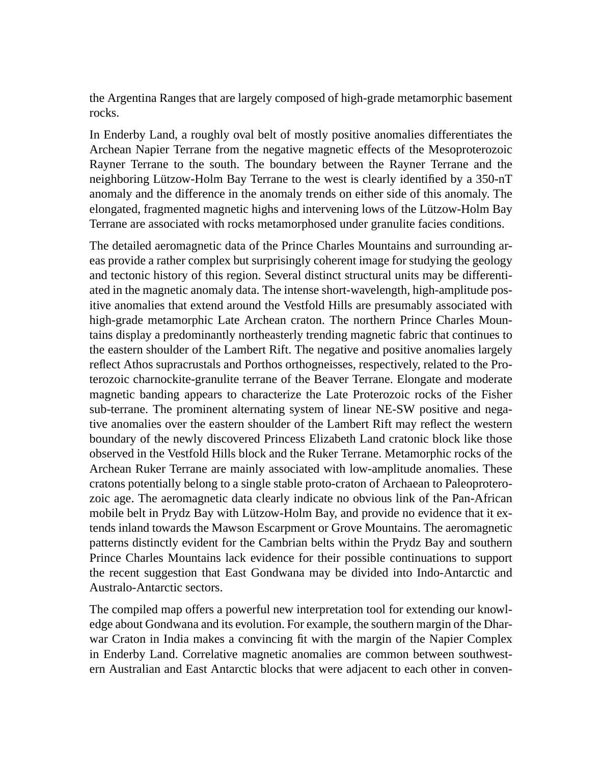the Argentina Ranges that are largely composed of high-grade metamorphic basement rocks.

In Enderby Land, a roughly oval belt of mostly positive anomalies differentiates the Archean Napier Terrane from the negative magnetic effects of the Mesoproterozoic Rayner Terrane to the south. The boundary between the Rayner Terrane and the neighboring Lützow-Holm Bay Terrane to the west is clearly identified by a 350-nT anomaly and the difference in the anomaly trends on either side of this anomaly. The elongated, fragmented magnetic highs and intervening lows of the Lützow-Holm Bay Terrane are associated with rocks metamorphosed under granulite facies conditions.

The detailed aeromagnetic data of the Prince Charles Mountains and surrounding areas provide a rather complex but surprisingly coherent image for studying the geology and tectonic history of this region. Several distinct structural units may be differentiated in the magnetic anomaly data. The intense short-wavelength, high-amplitude positive anomalies that extend around the Vestfold Hills are presumably associated with high-grade metamorphic Late Archean craton. The northern Prince Charles Mountains display a predominantly northeasterly trending magnetic fabric that continues to the eastern shoulder of the Lambert Rift. The negative and positive anomalies largely reflect Athos supracrustals and Porthos orthogneisses, respectively, related to the Proterozoic charnockite-granulite terrane of the Beaver Terrane. Elongate and moderate magnetic banding appears to characterize the Late Proterozoic rocks of the Fisher sub-terrane. The prominent alternating system of linear NE-SW positive and negative anomalies over the eastern shoulder of the Lambert Rift may reflect the western boundary of the newly discovered Princess Elizabeth Land cratonic block like those observed in the Vestfold Hills block and the Ruker Terrane. Metamorphic rocks of the Archean Ruker Terrane are mainly associated with low-amplitude anomalies. These cratons potentially belong to a single stable proto-craton of Archaean to Paleoproterozoic age. The aeromagnetic data clearly indicate no obvious link of the Pan-African mobile belt in Prydz Bay with Lützow-Holm Bay, and provide no evidence that it extends inland towards the Mawson Escarpment or Grove Mountains. The aeromagnetic patterns distinctly evident for the Cambrian belts within the Prydz Bay and southern Prince Charles Mountains lack evidence for their possible continuations to support the recent suggestion that East Gondwana may be divided into Indo-Antarctic and Australo-Antarctic sectors.

The compiled map offers a powerful new interpretation tool for extending our knowledge about Gondwana and its evolution. For example, the southern margin of the Dharwar Craton in India makes a convincing fit with the margin of the Napier Complex in Enderby Land. Correlative magnetic anomalies are common between southwestern Australian and East Antarctic blocks that were adjacent to each other in conven